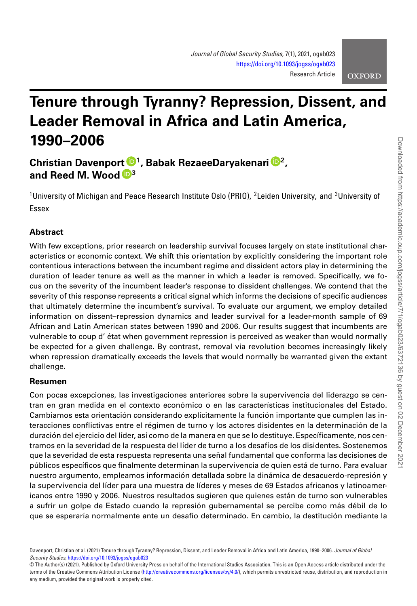# **Tenure through Tyranny? Repression, Dissent, and Leader Removal in Africa and Latin America, 1990–2006**

**Christian Davenport [1](https://orcid.org/0000-0001-5652-2914), Babak RezaeeDaryakenari [2](https://orcid.org/0000-0003-4717-5409), and Reed M. Wood [3](https://orcid.org/0000-0001-6898-7575)**

 $^1$ University of Michigan and Peace Research Institute Oslo (PRIO), <sup>2</sup>Leiden University, and  $^3$ University of Essex

# **Abstract**

With few exceptions, prior research on leadership survival focuses largely on state institutional characteristics or economic context. We shift this orientation by explicitly considering the important role contentious interactions between the incumbent regime and dissident actors play in determining the duration of leader tenure as well as the manner in which a leader is removed. Specifically, we focus on the severity of the incumbent leader's response to dissident challenges. We contend that the severity of this response represents a critical signal which informs the decisions of specific audiences that ultimately determine the incumbent's survival. To evaluate our argument, we employ detailed information on dissent–repression dynamics and leader survival for a leader-month sample of 69 African and Latin American states between 1990 and 2006. Our results suggest that incumbents are vulnerable to coup d' état when government repression is perceived as weaker than would normally be expected for a given challenge. By contrast, removal via revolution becomes increasingly likely when repression dramatically exceeds the levels that would normally be warranted given the extant challenge.

# **Resumen**

Con pocas excepciones, las investigaciones anteriores sobre la supervivencia del liderazgo se centran en gran medida en el contexto económico o en las características institucionales del Estado. Cambiamos esta orientación considerando explícitamente la función importante que cumplen las interacciones conflictivas entre el régimen de turno y los actores disidentes en la determinación de la duración del ejercicio del líder, así como de la manera en que se lo destituye. Específicamente, nos centramos en la severidad de la respuesta del líder de turno a los desafíos de los disidentes. Sostenemos que la severidad de esta respuesta representa una señal fundamental que conforma las decisiones de públicos específicos que finalmente determinan la supervivencia de quien está de turno. Para evaluar nuestro argumento, empleamos información detallada sobre la dinámica de desacuerdo-represión y la supervivencia del líder para una muestra de líderes y meses de 69 Estados africanos y latinoamericanos entre 1990 y 2006. Nuestros resultados sugieren que quienes están de turno son vulnerables a sufrir un golpe de Estado cuando la represión gubernamental se percibe como más débil de lo que se esperaría normalmente ante un desafío determinado. En cambio, la destitución mediante la

Davenport, Christian et al. (2021) Tenure through Tyranny? Repression, Dissent, and Leader Removal in Africa and Latin America, 1990–2006. *Journal of Global Security Studies*, <https://doi.org/10.1093/jogss/ogab023>

<sup>©</sup> The Author(s) (2021). Published by Oxford University Press on behalf of the International Studies Association. This is an Open Access article distributed under the terms of the Creative Commons Attribution License [\(http://creativecommons.org/licenses/by/4.0/\)](http://creativecommons.org/licenses/by/4.0/), which permits unrestricted reuse, distribution, and reproduction in any medium, provided the original work is properly cited.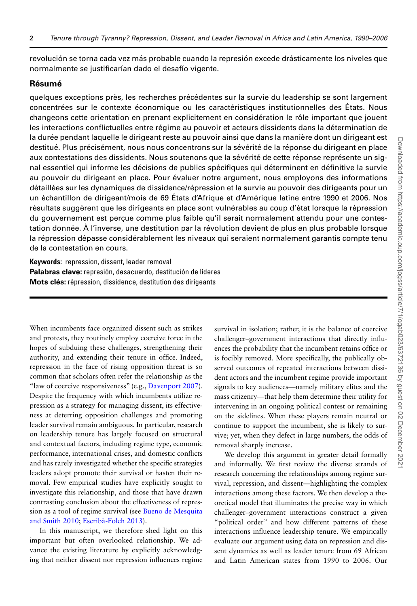revolución se torna cada vez más probable cuando la represión excede drásticamente los niveles que normalmente se justificarían dado el desafío vigente.

#### **Résumé**

quelques exceptions près, les recherches précédentes sur la survie du leadership se sont largement concentrées sur le contexte économique ou les caractéristiques institutionnelles des États. Nous changeons cette orientation en prenant explicitement en considération le rôle important que jouent les interactions conflictuelles entre régime au pouvoir et acteurs dissidents dans la détermination de la durée pendant laquelle le dirigeant reste au pouvoir ainsi que dans la manière dont un dirigeant est destitué. Plus précisément, nous nous concentrons sur la sévérité de la réponse du dirigeant en place aux contestations des dissidents. Nous soutenons que la sévérité de cette réponse représente un signal essentiel qui informe les décisions de publics spécifiques qui déterminent en définitive la survie au pouvoir du dirigeant en place. Pour évaluer notre argument, nous employons des informations détaillées sur les dynamiques de dissidence/répression et la survie au pouvoir des dirigeants pour un un échantillon de dirigeant/mois de 69 États d'Afrique et d'Amérique latine entre 1990 et 2006. Nos résultats suggèrent que les dirigeants en place sont vulnérables au coup d'état lorsque la répression du gouvernement est perçue comme plus faible qu'il serait normalement attendu pour une contestation donnée. À l'inverse, une destitution par la révolution devient de plus en plus probable lorsque la répression dépasse considérablement les niveaux qui seraient normalement garantis compte tenu de la contestation en cours.

**Keywords:** repression, dissent, leader removal **Palabras clave:** represión, desacuerdo, destitución de líderes **Mots clés:** répression, dissidence, destitution des dirigeants

When incumbents face organized dissent such as strikes and protests, they routinely employ coercive force in the hopes of subduing these challenges, strengthening their authority, and extending their tenure in office. Indeed, repression in the face of rising opposition threat is so common that scholars often refer the relationship as the "law of coercive responsiveness" (e.g., [Davenport 2007\)](#page-15-0). Despite the frequency with which incumbents utilize repression as a strategy for managing dissent, its effectiveness at deterring opposition challenges and promoting leader survival remain ambiguous. In particular, research on leadership tenure has largely focused on structural and contextual factors, including regime type, economic performance, international crises, and domestic conflicts and has rarely investigated whether the specific strategies leaders adopt promote their survival or hasten their removal. Few empirical studies have explicitly sought to investigate this relationship, and those that have drawn contrasting conclusion about the effectiveness of repres[sion as a tool of regime survival \(see](#page-15-1) Bueno de Mesquita and Smith 2010; [Escribà-Folch 2013\)](#page-15-2).

In this manuscript, we therefore shed light on this important but often overlooked relationship. We advance the existing literature by explicitly acknowledging that neither dissent nor repression influences regime survival in isolation; rather, it is the balance of coercive challenger–government interactions that directly influences the probability that the incumbent retains office or is focibly removed. More specifically, the publically observed outcomes of repeated interactions between dissident actors and the incumbent regime provide important signals to key audiences—namely military elites and the mass citizenry—that help them determine their utility for intervening in an ongoing political contest or remaining on the sidelines. When these players remain neutral or continue to support the incumbent, she is likely to survive; yet, when they defect in large numbers, the odds of removal sharply increase.

We develop this argument in greater detail formally and informally. We first review the diverse strands of research concerning the relationships among regime survival, repression, and dissent—highlighting the complex interactions among these factors. We then develop a theoretical model that illuminates the precise way in which challenger–government interactions construct a given "political order" and how different patterns of these interactions influence leadership tenure. We empirically evaluate our argument using data on repression and dissent dynamics as well as leader tenure from 69 African and Latin American states from 1990 to 2006. Our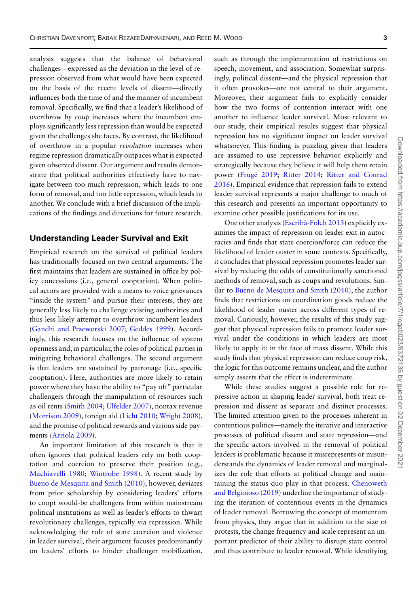analysis suggests that the balance of behavioral challenges—expressed as the deviation in the level of repression observed from what would have been expected on the basis of the recent levels of dissent—directly influences both the time of and the manner of incumbent removal. Specifically, we find that a leader's likelihood of overthrow by *coup* increases where the incumbent employs significantly less repression than would be expected given the challenges she faces. By contrast, the likelihood of overthrow in a popular *revolution* increases when regime repression dramatically outpaces what is expected given observed dissent. Our argument and results demonstrate that political authorities effectively have to navigate between too much repression, which leads to one form of removal, and too little repression, which leads to another. We conclude with a brief discussion of the implications of the findings and directions for future research.

### **Understanding Leader Survival and Exit**

Empirical research on the survival of political leaders has traditionally focused on two central arguments. The first maintains that leaders are sustained in office by policy concessions (i.e., general cooptation). When political actors are provided with a means to voice grievances "inside the system" and pursue their interests, they are generally less likely to challenge existing authorities and thus less likely attempt to overthrow incumbent leaders [\(Gandhi and Przeworski 2007;](#page-15-3) [Geddes 1999\)](#page-15-4). Accordingly, this research focuses on the influence of system openness and, in particular, the roles of political parties in mitigating behavioral challenges. The second argument is that leaders are sustained by patronage (i.e., specific cooptation). Here, authorities are more likely to retain power where they have the ability to "pay off" particular challengers through the manipulation of resources such as oil rents [\(Smith 2004;](#page-16-0) [Ulfelder 2007\)](#page-16-1), nontax revenue [\(Morrison 2009\)](#page-16-2), foreign aid [\(Licht 2010;](#page-15-5) [Wright 2008\)](#page-16-3), and the promise of political rewards and various side payments [\(Arriola 2009\)](#page-15-6).

An important limitation of this research is that it often ignores that political leaders rely on both cooptation and coercion to preserve their position (e.g., [Machiavelli 1980;](#page-16-4) [Wintrobe 1998\)](#page-16-5). A recent study by [Bueno de Mesquita and Smith \(2010\),](#page-15-1) however, deviates from prior scholarship by considering leaders' efforts to coopt would-be challengers from within mainstream political institutions as well as leader's efforts to thwart revolutionary challenges, typically via repression. While acknowledging the role of state coercion and violence in leader survival, their argument focuses predominantly on leaders' efforts to hinder challenger mobilization,

such as through the implementation of restrictions on speech, movement, and association. Somewhat surprisingly, political dissent—and the physical repression that it often provokes—are not central to their argument. Moreover, their argument fails to explicitly consider how the two forms of contention interact with one another to influence leader survival. Most relevant to our study, their empirical results suggest that physical repression has no significant impact on leader survival whatsoever. This finding is puzzling given that leaders are assumed to use repressive behavior explicitly and strategically because they believe it will help them retain power [\(Frugé 2019;](#page-15-7) [Ritter 2014;](#page-16-6) Ritter and Conrad [2016\). Empirical evidence that repression fails to extend](#page-16-7) leader survival represents a major challenge to much of this research and presents an important opportunity to examine other possible justifications for its use.

One other analysis [\(Escribà-Folch 2013\)](#page-15-2) explicitly examines the impact of repression on leader exit in autocracies and finds that state coercion/force can reduce the likelihood of leader ouster in some contexts. Specifically, it concludes that physical repression promotes leader survival by reducing the odds of constitutionally sanctioned methods of removal, such as coups and revolutions. Similar to [Bueno de Mesquita and Smith \(2010\),](#page-15-1) the author finds that restrictions on coordination goods reduce the likelihood of leader ouster across different types of removal. Curiously, however, the results of this study suggest that physical repression fails to promote leader survival under the conditions in which leaders are most likely to apply it: in the face of mass dissent. While this study finds that physical repression can reduce coup risk, the logic for this outcome remains unclear, and the author simply asserts that the effect is indeterminate.

While these studies suggest a possible role for repressive action in shaping leader survival, both treat repression and dissent as separate and distinct processes. The limited attention given to the processes inherent in contentious politics—namely the iterative and interactive processes of political dissent and state repression—and the specific actors involved in the removal of political leaders is problematic because it misrepresents or misunderstands the dynamics of leader removal and marginalizes the role that efforts at political change and main[taining the status quo play in that process.](#page-15-8) Chenoweth and Belgioioso (2019) underline the importance of studying the iteration of contentious events in the dynamics of leader removal. Borrowing the concept of momentum from physics, they argue that in addition to the size of protests, the change frequency and scale represent an important predictor of their ability to disrupt state control and thus contribute to leader removal. While identifying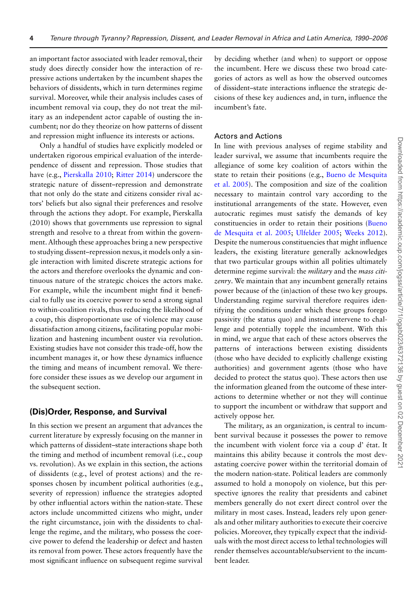an important factor associated with leader removal, their study does directly consider how the interaction of repressive actions undertaken by the incumbent shapes the behaviors of dissidents, which in turn determines regime survival. Moreover, while their analysis includes cases of incumbent removal via coup, they do not treat the military as an independent actor capable of ousting the incumbent; nor do they theorize on how patterns of dissent and repression might influence its interests or actions.

Only a handful of studies have explicitly modeled or undertaken rigorous empirical evaluation of the interdependence of dissent and repression. Those studies that have (e.g., [Pierskalla 2010;](#page-16-8) [Ritter 2014\)](#page-16-6) underscore the strategic nature of dissent–repression and demonstrate that not only do the state and citizens consider rival actors' beliefs but also signal their preferences and resolve through the actions they adopt. For example, Pierskalla (2010) shows that governments use repression to signal strength and resolve to a threat from within the government. Although these approaches bring a new perspective to studying dissent–repression nexus, it models only a single interaction with limited discrete strategic actions for the actors and therefore overlooks the dynamic and continuous nature of the strategic choices the actors make. For example, while the incumbent might find it beneficial to fully use its coercive power to send a strong signal to within-coalition rivals, thus reducing the likelihood of a coup, this disproportionate use of violence may cause dissatisfaction among citizens, facilitating popular mobilization and hastening incumbent ouster via revolution. Existing studies have not consider this trade-off, how the incumbent manages it, or how these dynamics influence the timing and means of incumbent removal. We therefore consider these issues as we develop our argument in the subsequent section.

#### **(Dis)Order, Response, and Survival**

In this section we present an argument that advances the current literature by expressly focusing on the manner in which patterns of dissident–state interactions shape both the timing and method of incumbent removal (i.e., coup vs. revolution). As we explain in this section, the actions of dissidents (e.g., level of protest actions) and the responses chosen by incumbent political authorities (e.g., severity of repression) influence the strategies adopted by other influential actors within the nation-state. These actors include uncommitted citizens who might, under the right circumstance, join with the dissidents to challenge the regime, and the military, who possess the coercive power to defend the leadership or defect and hasten its removal from power. These actors frequently have the most significant influence on subsequent regime survival

by deciding whether (and when) to support or oppose the incumbent. Here we discuss these two broad categories of actors as well as how the observed outcomes of dissident–state interactions influence the strategic decisions of these key audiences and, in turn, influence the incumbent's fate.

## Actors and Actions

In line with previous analyses of regime stability and leader survival, we assume that incumbents require the allegiance of some key coalition of actors within the state to retain their positions (e.g., Bueno de Mesquita [et al. 2005\). The composition and size of the coalition](#page-15-9) necessary to maintain control vary according to the institutional arrangements of the state. However, even autocratic regimes must satisfy the demands of key [constituencies in order to retain their positions \(Bueno](#page-15-9) de Mesquita et al. 2005; [Ulfelder 2005;](#page-16-9) [Weeks 2012\)](#page-16-10). Despite the numerous constituencies that might influence leaders, the existing literature generally acknowledges that two particular groups within all polities ultimately determine regime survival: the *military* and the *mass citizenry*. We maintain that any incumbent generally retains power because of the (in)action of these two key groups. Understanding regime survival therefore requires identifying the conditions under which these groups forego passivity (the status quo) and instead intervene to challenge and potentially topple the incumbent. With this in mind, we argue that each of these actors observes the patterns of interactions between existing dissidents (those who have decided to explicitly challenge existing authorities) and government agents (those who have decided to protect the status quo). These actors then use the information gleaned from the outcome of these interactions to determine whether or not they will continue to support the incumbent or withdraw that support and actively oppose her.

The military, as an organization, is central to incumbent survival because it possesses the power to remove the incumbent with violent force via a coup d' état. It maintains this ability because it controls the most devastating coercive power within the territorial domain of the modern nation-state. Political leaders are commonly assumed to hold a monopoly on violence, but this perspective ignores the reality that presidents and cabinet members generally do not exert direct control over the military in most cases. Instead, leaders rely upon generals and other military authorities to execute their coercive policies. Moreover, they typically expect that the individuals with the most direct access to lethal technologies will render themselves accountable/subservient to the incumbent leader.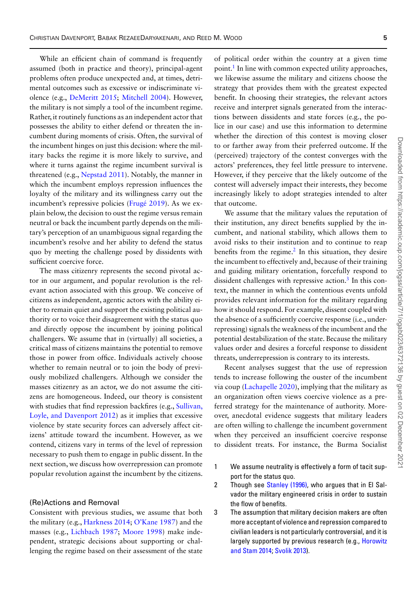While an efficient chain of command is frequently assumed (both in practice and theory), principal-agent problems often produce unexpected and, at times, detrimental outcomes such as excessive or indiscriminate violence (e.g., [DeMeritt 2015;](#page-15-10) [Mitchell 2004\)](#page-16-11). However, the military is not simply a tool of the incumbent regime. Rather, it routinely functions as an independent actor that possesses the ability to either defend or threaten the incumbent during moments of crisis. Often, the survival of the incumbent hinges on just this decision: where the military backs the regime it is more likely to survive, and where it turns against the regime incumbent survival is threatened (e.g., [Nepstad 2011\)](#page-16-12). Notably, the manner in which the incumbent employs repression influences the loyalty of the military and its willingness carry out the incumbent's repressive policies [\(Frugé 2019\)](#page-15-7). As we explain below, the decision to oust the regime versus remain neutral or back the incumbent partly depends on the military's perception of an unambiguous signal regarding the incumbent's resolve and her ability to defend the status quo by meeting the challenge posed by dissidents with sufficient coercive force.

The mass citizenry represents the second pivotal actor in our argument, and popular revolution is the relevant action associated with this group. We conceive of citizens as independent, agentic actors with the ability either to remain quiet and support the existing political authority or to voice their disagreement with the status quo and directly oppose the incumbent by joining political challengers. We assume that in (virtually) all societies, a critical mass of citizens maintains the potential to remove those in power from office. Individuals actively choose whether to remain neutral or to join the body of previously mobilized challengers. Although we consider the masses citizenry as an actor, we do not assume the citizens are homogeneous. Indeed, our theory is consistent with studies that find repression backfires (e.g., Sullivan, [Loyle, and Davenport 2012\) as it implies that excessive](#page-16-13) violence by state security forces can adversely affect citizens' attitude toward the incumbent. However, as we contend, citizens vary in terms of the level of repression necessary to push them to engage in public dissent. In the next section, we discuss how overrepression can promote popular revolution against the incumbent by the citizens.

#### (Re)Actions and Removal

Consistent with previous studies, we assume that both the military (e.g., [Harkness 2014;](#page-15-11) [O'Kane 1987\)](#page-16-14) and the masses (e.g., [Lichbach 1987;](#page-15-12) [Moore 1998\)](#page-16-15) make independent, strategic decisions about supporting or challenging the regime based on their assessment of the state

of political order within the country at a given time point.<sup>1</sup> In line with common expected utility approaches, we likewise assume the military and citizens choose the strategy that provides them with the greatest expected benefit. In choosing their strategies, the relevant actors receive and interpret signals generated from the interactions between dissidents and state forces (e.g., the police in our case) and use this information to determine whether the direction of this contest is moving closer to or farther away from their preferred outcome. If the (perceived) trajectory of the contest converges with the actors' preferences, they feel little pressure to intervene. However, if they perceive that the likely outcome of the contest will adversely impact their interests, they become increasingly likely to adopt strategies intended to alter that outcome.

We assume that the military values the reputation of their institution, any direct benefits supplied by the incumbent, and national stability, which allows them to avoid risks to their institution and to continue to reap benefits from the regime. $<sup>2</sup>$  In this situation, they desire</sup> the incumbent to effectively and, because of their training and guiding military orientation, forcefully respond to dissident challenges with repressive action.<sup>3</sup> In this context, the manner in which the contentious events unfold provides relevant information for the military regarding how it should respond. For example, dissent coupled with the absence of a sufficiently coercive response (i.e., underrepressing) signals the weakness of the incumbent and the potential destabilization of the state. Because the military values order and desires a forceful response to dissident threats, underrepression is contrary to its interests.

Recent analyses suggest that the use of repression tends to increase following the ouster of the incumbent via coup [\(Lachapelle 2020\)](#page-15-13), implying that the military as an organization often views coercive violence as a preferred strategy for the maintenance of authority. Moreover, anecdotal evidence suggests that military leaders are often willing to challenge the incumbent government when they perceived an insufficient coercive response to dissident treats. For instance, the Burma Socialist

- <span id="page-4-0"></span>1 We assume neutrality is effectively a form of tacit support for the status quo.
- <span id="page-4-1"></span>2 Though see [Stanley \(1996\),](#page-16-16) who argues that in El Salvador the military engineered crisis in order to sustain the flow of benefits.
- <span id="page-4-2"></span>3 The assumption that military decision makers are often more acceptant of violence and repression compared to civilian leaders is not particularly controversial, and it is [largely supported by previous research \(e.g.,](#page-15-14) Horowitz and Stam 2014; [Svolik 2013\)](#page-16-17).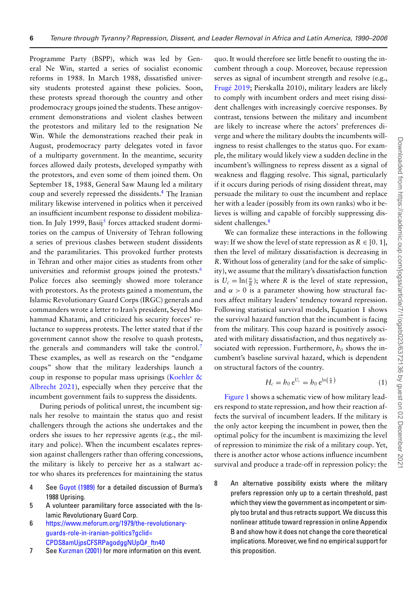Programme Party (BSPP), which was led by General Ne Win, started a series of socialist economic reforms in 1988. In March 1988, dissatisfied university students protested against these policies. Soon, these protests spread thorough the country and other prodemocracy groups joined the students. These antigovernment demonstrations and violent clashes between the protestors and military led to the resignation Ne Win. While the demonstrations reached their peak in August, prodemocracy party delegates voted in favor of a multiparty government. In the meantime, security forces allowed daily protests, developed sympathy with the protestors, and even some of them joined them. On September 18, 1988, General Saw Maung led a military coup and severely repressed the dissidents.<sup>4</sup> The Iranian military likewise intervened in politics when it perceived an insufficient incumbent response to dissident mobiliza-tion. In July 1999, Basij<sup>[5](#page-5-1)</sup> forces attacked student dormitories on the campus of University of Tehran following a series of previous clashes between student dissidents and the paramilitaries. This provoked further protests in Tehran and other major cities as students from other universities and reformist groups joined the protests.<sup>6</sup> Police forces also seemingly showed more tolerance with protestors. As the protests gained a momentum, the Islamic Revolutionary Guard Corps (IRGC) generals and commanders wrote a letter to Iran's president, Seyed Mohammad Khatami, and criticized his security forces' reluctance to suppress protests. The letter stated that if the government cannot show the resolve to quash protests, the generals and commanders will take the control[.7](#page-5-3) These examples, as well as research on the "endgame coups" show that the military leaderships launch a [coup in response to popular mass uprisings \(Koehler &](#page-15-15) Albrecht 2021), especially when they perceive that the incumbent government fails to suppress the dissidents.

During periods of political unrest, the incumbent signals her resolve to maintain the status quo and resist challengers through the actions she undertakes and the orders she issues to her repressive agents (e.g., the military and police). When the incumbent escalates repression against challengers rather than offering concessions, the military is likely to perceive her as a stalwart actor who shares its preferences for maintaining the status

- <span id="page-5-0"></span>4 See [Guyot \(1989\)](#page-15-16) for a detailed discussion of Burma's 1988 Uprising.
- <span id="page-5-1"></span>5 A volunteer paramilitary force associated with the Islamic Revolutionary Guard Corp.
- <span id="page-5-2"></span>6 [https://www.meforum.org/1979/the-revolutionary](https://www.meforum.org/1979/the-revolutionary-guards-role-in-iranian-politics?gclid=CPDS8amUjpsCFSRPagodggNUpQ\043_ftn40)guards-role-in-iranian-politics?gclid= CPDS8amUjpsCFSRPagodggNUpQ#\_ftn40
- <span id="page-5-3"></span>7 See [Kurzman \(2001\)](#page-15-17) for more information on this event.

quo. It would therefore see little benefit to ousting the incumbent through a coup. Moreover, because repression serves as signal of incumbent strength and resolve (e.g., [Frugé 2019;](#page-15-7) Pierskalla 2010), military leaders are likely to comply with incumbent orders and meet rising dissident challenges with increasingly coercive responses. By contrast, tensions between the military and incumbent are likely to increase where the actors' preferences diverge and where the military doubts the incumbents willingness to resist challenges to the status quo. For example, the military would likely view a sudden decline in the incumbent's willingness to repress dissent as a signal of weakness and flagging resolve. This signal, particularly if it occurs during periods of rising dissident threat, may persuade the military to oust the incumbent and replace her with a leader (possibly from its own ranks) who it believes is willing and capable of forcibly suppressing dissident challenges.<sup>8</sup>

We can formalize these interactions in the following way: If we show the level of state repression as  $R \in [0, 1]$ , then the level of military dissatisfaction is decreasing in *R*. Without loss of generality (and for the sake of simplicity), we assume that the military's dissatisfaction function is  $U_c = \ln(\frac{\alpha}{R})$ ; where *R* is the level of state repression, and  $\alpha > 0$  is a parameter showing how structural factors affect military leaders' tendency toward repression. Following statistical survival models, Equation 1 shows the survival hazard function that the incumbent is facing from the military. This coup hazard is positively associated with military dissatisfaction, and thus negatively associated with repression. Furthermore,  $h_0$  shows the incumbent's baseline survival hazard, which is dependent on structural factors of the country.

$$
H_c = h_0 e^{U_c} = h_0 e^{\ln\left(\frac{\alpha}{R}\right)}\tag{1}
$$

[Figure 1](#page-6-0) shows a schematic view of how military leaders respond to state repression, and how their reaction affects the survival of incumbent leaders. If the military is the only actor keeping the incumbent in power, then the optimal policy for the incumbent is maximizing the level of repression to minimize the risk of a military coup. Yet, there is another actor whose actions influence incumbent survival and produce a trade-off in repression policy: the

<span id="page-5-4"></span>8 An alternative possibility exists where the military prefers repression only up to a certain threshold, past which they view the government as incompetent or simply too brutal and thus retracts support. We discuss this nonlinear attitude toward repression in online Appendix B and show how it does not change the core theoretical implications. Moreover, we find no empirical support for this proposition.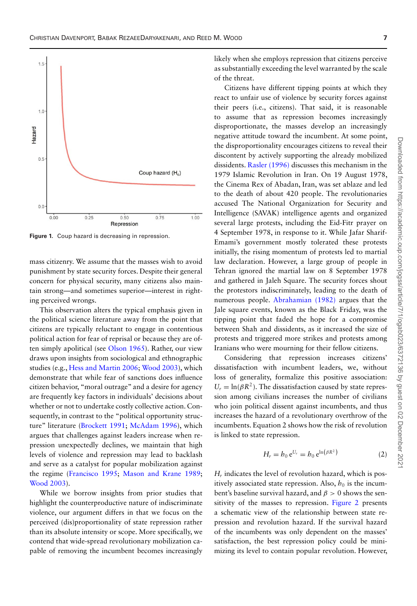<span id="page-6-0"></span>

**Figure 1.** Coup hazard is decreasing in repression.

mass citizenry. We assume that the masses wish to avoid punishment by state security forces. Despite their general concern for physical security, many citizens also maintain strong—and sometimes superior—interest in righting perceived wrongs.

This observation alters the typical emphasis given in the political science literature away from the point that citizens are typically reluctant to engage in contentious political action for fear of reprisal or because they are often simply apolitical (see [Olson 1965\)](#page-16-18). Rather, our view draws upon insights from sociological and ethnographic studies (e.g., [Hess and Martin 2006;](#page-15-18) [Wood 2003\)](#page-16-19), which demonstrate that while fear of sanctions does influence citizen behavior, "moral outrage" and a desire for agency are frequently key factors in individuals' decisions about whether or not to undertake costly collective action. Consequently, in contrast to the "political opportunity structure" literature [\(Brockett 1991;](#page-15-19) [McAdam 1996\)](#page-15-20), which argues that challenges against leaders increase when repression unexpectedly declines, we maintain that high levels of violence and repression may lead to backlash and serve as a catalyst for popular mobilization against the regime [\(Francisco 1995;](#page-15-21) [Mason and Krane 1989;](#page-16-20) [Wood 2003\)](#page-16-19).

While we borrow insights from prior studies that highlight the counterproductive nature of indiscriminate violence, our argument differs in that we focus on the perceived (dis)proportionality of state repression rather than its absolute intensity or scope. More specifically, we contend that wide-spread revolutionary mobilization capable of removing the incumbent becomes increasingly likely when she employs repression that citizens perceive as substantially exceeding the level warranted by the scale of the threat.

Citizens have different tipping points at which they react to unfair use of violence by security forces against their peers (i.e., citizens). That said, it is reasonable to assume that as repression becomes increasingly disproportionate, the masses develop an increasingly negative attitude toward the incumbent. At some point, the disproportionality encourages citizens to reveal their discontent by actively supporting the already mobilized dissidents. [Rasler \(1996\)](#page-16-21) discusses this mechanism in the 1979 Islamic Revolution in Iran. On 19 August 1978, the Cinema Rex of Abadan, Iran, was set ablaze and led to the death of about 420 people. The revolutionaries accused The National Organization for Security and Intelligence (SAVAK) intelligence agents and organized several large protests, including the Eid-Fitr prayer on 4 September 1978, in response to it. While Jafar Sharif-Emami's government mostly tolerated these protests initially, the rising momentum of protests led to martial law declaration. However, a large group of people in Tehran ignored the martial law on 8 September 1978 and gathered in Jaleh Square. The security forces shout the protestors indiscriminately, leading to the death of numerous people. [Abrahamian \(1982\)](#page-15-22) argues that the Jale square events, known as the Black Friday, was the tipping point that faded the hope for a compromise between Shah and dissidents, as it increased the size of protests and triggered more strikes and protests among Iranians who were mourning for their fellow citizens.

Considering that repression increases citizens' dissatisfaction with incumbent leaders, we, without loss of generality, formalize this positive association:  $U_r = \ln(\beta R^2)$ . The dissatisfaction caused by state repression among civilians increases the number of civilians who join political dissent against incumbents, and thus increases the hazard of a revolutionary overthrow of the incumbents. Equation 2 shows how the risk of revolution is linked to state repression.

$$
H_r = h_0 e^{U_r} = h_0 e^{\ln(\beta R^2)}
$$
 (2)

 $H_r$  indicates the level of revolution hazard, which is positively associated state repression. Also,  $h_0$  is the incumbent's baseline survival hazard, and  $\beta > 0$  shows the sen-sitivity of the masses to repression. [Figure 2](#page-7-0) presents a schematic view of the relationship between state repression and revolution hazard. If the survival hazard of the incumbents was only dependent on the masses' satisfaction, the best repression policy could be minimizing its level to contain popular revolution. However,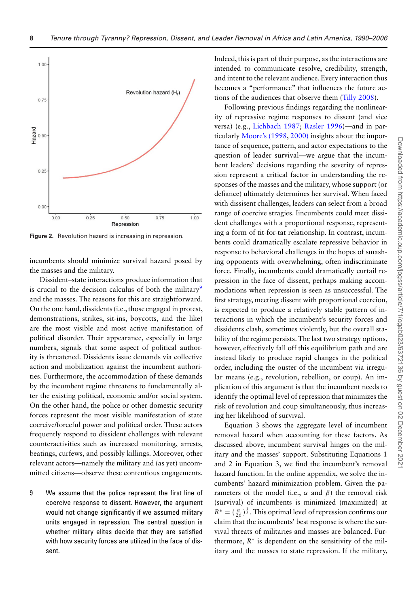<span id="page-7-0"></span>

**Figure 2.** Revolution hazard is increasing in repression.

incumbents should minimize survival hazard posed by the masses and the military.

Dissident–state interactions produce information that is crucial to the decision calculus of both the military<sup>[9](#page-7-1)</sup> and the masses. The reasons for this are straightforward. On the one hand, dissidents (i.e., those engaged in protest, demonstrations, strikes, sit-ins, boycotts, and the like) are the most visible and most active manifestation of political disorder. Their appearance, especially in large numbers, signals that some aspect of political authority is threatened. Dissidents issue demands via collective action and mobilization against the incumbent authorities. Furthermore, the accommodation of these demands by the incumbent regime threatens to fundamentally alter the existing political, economic and/or social system. On the other hand, the police or other domestic security forces represent the most visible manifestation of state coercive/forceful power and political order. These actors frequently respond to dissident challenges with relevant counteractivities such as increased monitoring, arrests, beatings, curfews, and possibly killings. Moreover, other relevant actors—namely the military and (as yet) uncommitted citizens—observe these contentious engagements.

<span id="page-7-1"></span>9 We assume that the police represent the first line of coercive response to dissent. However, the argument would not change significantly if we assumed military units engaged in repression. The central question is whether military elites decide that they are satisfied with how security forces are utilized in the face of dissent.

Indeed, this is part of their purpose, as the interactions are intended to communicate resolve, credibility, strength, and intent to the relevant audience. Every interaction thus becomes a "performance" that influences the future actions of the audiences that observe them [\(Tilly 2008\)](#page-16-22).

Following previous findings regarding the nonlinearity of repressive regime responses to dissent (and vice versa) (e.g., [Lichbach 1987;](#page-15-12) [Rasler 1996\)](#page-16-21)—and in particularly [Moore's \(1998,](#page-16-15) [2000\)](#page-16-23) insights about the importance of sequence, pattern, and actor expectations to the question of leader survival—we argue that the incumbent leaders' decisions regarding the severity of repression represent a critical factor in understanding the responses of the masses and the military, whose support (or defiance) ultimately determines her survival. When faced with dissisent challenges, leaders can select from a broad range of coercive stragies. Iincumbents could meet dissident challenges with a proportional response, representing a form of tit-for-tat relationship. In contrast, incumbents could dramatically escalate repressive behavior in response to behavioral challenges in the hopes of smashing opponents with overwhelming, often indiscriminate force. Finally, incumbents could dramatically curtail repression in the face of dissent, perhaps making accommodations when repression is seen as unsuccessful. The first strategy, meeting dissent with proportional coercion, is expected to produce a relatively stable pattern of interactions in which the incumbent's security forces and dissidents clash, sometimes violently, but the overall stability of the regime persists. The last two strategy options, however, effectively fall off this equilibrium path and are instead likely to produce rapid changes in the political order, including the ouster of the incumbent via irregular means (e.g., revolution, rebellion, or coup). An implication of this argument is that the incumbent needs to identify the optimal level of repression that minimizes the risk of revolution and coup simultaneously, thus increasing her likelihood of survival.

Equation 3 shows the aggregate level of incumbent removal hazard when accounting for these factors. As discussed above, incumbent survival hinges on the military and the masses' support. Substituting Equations 1 and 2 in Equation 3, we find the incumbent's removal hazard function. In the online appendix, we solve the incumbents' hazard minimization problem. Given the parameters of the model (i.e.,  $\alpha$  and  $\beta$ ) the removal risk (survival) of incumbents is minimized (maximized) at  $R^* = (\frac{\alpha}{2\beta})^{\frac{1}{3}}$ . This optimal level of repression confirms our claim that the incumbents' best response is where the survival threats of militaries and masses are balanced. Furthermore,  $R^*$  is dependent on the sensitivity of the military and the masses to state repression. If the military,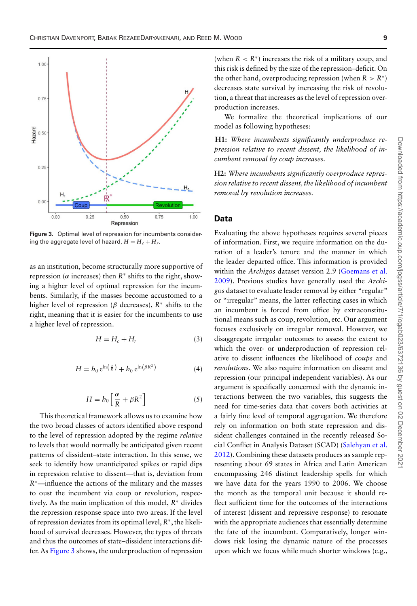<span id="page-8-0"></span>

**Figure 3.** Optimal level of repression for incumbents considering the aggregate level of hazard,  $H = H_c + H_r$ .

as an institution, become structurally more supportive of repression ( $α$  increases) then  $R<sup>*</sup>$  shifts to the right, showing a higher level of optimal repression for the incumbents. Similarly, if the masses become accustomed to a higher level of repression (β decreases), *R*<sup>∗</sup> shifts to the right, meaning that it is easier for the incumbents to use a higher level of repression.

$$
H = H_c + H_r \tag{3}
$$

$$
H = h_0 e^{\ln\left(\frac{\alpha}{R}\right)} + h_0 e^{\ln\left(\beta R^2\right)} \tag{4}
$$

$$
H = h_0 \left[ \frac{\alpha}{R} + \beta R^2 \right] \tag{5}
$$

This theoretical framework allows us to examine how the two broad classes of actors identified above respond to the level of repression adopted by the regime *relative* to levels that would normally be anticipated given recent patterns of dissident–state interaction. In this sense, we seek to identify how unanticipated spikes or rapid dips in repression relative to dissent—that is, deviation from *R*∗—influence the actions of the military and the masses to oust the incumbent via coup or revolution, respectively. As the main implication of this model, *R*<sup>∗</sup> divides the repression response space into two areas. If the level of repression deviates from its optimal level, *R*∗, the likelihood of survival decreases. However, the types of threats and thus the outcomes of state–dissident interactions differ. As [Figure 3](#page-8-0) shows, the underproduction of repression

(when  $R < R^*$ ) increases the risk of a military coup, and this risk is defined by the size of the repression–deficit. On the other hand, overproducing repression (when  $R > R^*$ ) decreases state survival by increasing the risk of revolution, a threat that increases as the level of repression overproduction increases.

We formalize the theoretical implications of our model as following hypotheses:

**H1:** *Where incumbents significantly underproduce repression relative to recent dissent, the likelihood of incumbent removal by coup increases.*

**H2:** *Where incumbents significantly overproduce repression relative to recent dissent, the likelihood of incumbent removal by revolution increases.*

## **Data**

Evaluating the above hypotheses requires several pieces of information. First, we require information on the duration of a leader's tenure and the manner in which the leader departed office. This information is provided within the *Archigos* dataset version 2.9 (Goemans et al. [2009\). Previous studies have generally used the](#page-15-23) *Archigos* dataset to evaluate leader removal by either "regular" or "irregular" means, the latter reflecting cases in which an incumbent is forced from office by extraconstitutional means such as coup, revolution, etc. Our argument focuses exclusively on irregular removal. However, we disaggregate irregular outcomes to assess the extent to which the over- or underproduction of repression relative to dissent influences the likelihood of *coups* and *revolutions*. We also require information on dissent and repression (our principal independent variables). As our argument is specifically concerned with the dynamic interactions between the two variables, this suggests the need for time-series data that covers both activities at a fairly fine level of temporal aggregation. We therefore rely on information on both state repression and dissident challenges contained in the recently released So[cial Conflict in Analysis Dataset \(SCAD\) \(Salehyan et al.](#page-16-24) 2012). Combining these datasets produces as sample representing about 69 states in Africa and Latin American encompassing 246 distinct leadership spells for which we have data for the years 1990 to 2006. We choose the month as the temporal unit because it should reflect sufficient time for the outcomes of the interactions of interest (dissent and repressive response) to resonate with the appropriate audiences that essentially determine the fate of the incumbent. Comparatively, longer windows risk losing the dynamic nature of the processes upon which we focus while much shorter windows (e.g.,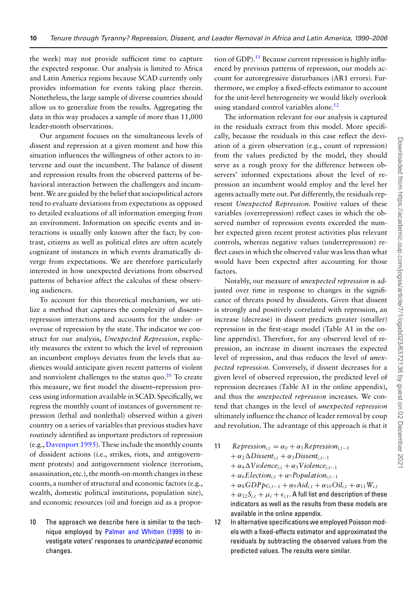the week) may not provide sufficient time to capture the expected response. Our analysis is limited to Africa and Latin America regions because SCAD currently only provides information for events taking place therein. Nonetheless, the large sample of diverse countries should allow us to generalize from the results. Aggregating the data in this way produces a sample of more than 11,000 leader-month observations.

Our argument focuses on the simultaneous levels of dissent and repression at a given moment and how this situation influences the willingness of other actors to intervene and oust the incumbent. The balance of dissent and repression results from the observed patterns of behavioral interaction between the challengers and incumbent.We are guided by the belief that sociopolitical actors tend to evaluate deviations from expectations as opposed to detailed evaluations of all information emerging from an environment. Information on specific events and interactions is usually only known after the fact; by contrast, citizens as well as political elites are often acutely cognizant of instances in which events dramatically diverge from expectations. We are therefore particularly interested in how unexpected deviations from observed patterns of behavior affect the calculus of these observing audiences.

To account for this theoretical mechanism, we utilize a method that captures the complexity of dissent– repression interactions and accounts for the under- or overuse of repression by the state. The indicator we construct for our analysis, *Unexpected Repression*, explicitly measures the extent to which the level of repression an incumbent employs deviates from the levels that audiences would anticipate given recent patterns of violent and nonviolent challenges to the status quo. $10$  To create this measure, we first model the dissent–repression process using information available in SCAD. Specifically, we regress the monthly count of instances of government repression (lethal and nonlethal) observed within a given country on a series of variables that previous studies have routinely identified as important predictors of repression (e.g., [Davenport 1995\)](#page-15-24). These include the monthly counts of dissident actions (i.e., strikes, riots, and antigovernment protests) and antigovernment violence (terrorism, assassination, etc.), the month-on-month changes in these counts, a number of structural and economic factors (e.g., wealth, domestic political institutions, population size), and economic resources (oil and foreign aid as a propor-

<span id="page-9-0"></span>10 The approach we describe here is similar to the tech-nique employed by [Palmer and Whitten \(1999\)](#page-16-25) to investigate voters' responses to *unanticipated* economic changes.

tion of GDP).<sup>11</sup> Because current repression is highly influenced by previous patterns of repression, our models account for autoregressive disturbances (AR1 errors). Furthermore, we employ a fixed-effects estimator to account for the unit-level heterogeneity we would likely overlook using standard control variables alone.<sup>12</sup>

The information relevant for our analysis is captured in the residuals extract from this model. More specifically, because the residuals in this case reflect the deviation of a given observation (e.g., count of repression) from the values predicted by the model, they should serve as a rough proxy for the difference between observers' informed expectations about the level of repression an incumbent would employ and the level her agents actually mete out. Put differently, the residuals represent *Unexpected Repression*. Positive values of these variables (overrepression) reflect cases in which the observed number of repression events exceeded the number expected given recent protest activities plus relevant controls, whereas negative values (underrepression) reflect cases in which the observed value was less than what would have been expected after accounting for those factors.

Notably, our measure of *unexpected repression* is adjusted over time in response to changes in the significance of threats posed by dissidents. Given that dissent is strongly and positively correlated with repression, an increase (decrease) in dissent predicts greater (smaller) repression in the first-stage model (Table A1 in the online appendix). Therefore, for any observed level of repression, an increase in dissent increases the expected level of repression, and thus reduces the level of *unexpected repression*. Conversely, if dissent decreases for a given level of observed repression, the predicted level of repression decreases (Table A1 in the online appendix), and thus the *unexpected repression* increases. We contend that changes in the level of *unexpected repression* ultimately influence the chance of leader removal by coup and revolution. The advantage of this approach is that it

- <span id="page-9-1"></span>11 *Repression*<sub>*i*,*t*</sub> =  $\alpha_0 + \alpha_1$ *Repression*<sub>*i*,*t*-1</sub>  $+ \alpha_2 \Delta Dissent_{i,t} + \alpha_3 Dissent_{i,t-1}$  $+ \alpha_4 \Delta \text{V}$ *iolence*<sub>*i*,*t*</sub> +  $\alpha_5 \text{V}$ *iolence*<sub>*i*,*t*-1</sub>  $+ \alpha_6Election_{i,t} + \alpha_7Population_{i,t-1}$  $+\alpha_8 GDP p c_{i,t-1} + \alpha_9 A i d_{i,t} + \alpha_{10} O i l_{i,t} + \alpha_{11} W_{i,t}$  $+\alpha_{12}S_{i,t} + \mu_i + \epsilon_{i,t}$ . A full list and description of these indicators as well as the results from these models are available in the online appendix.
- <span id="page-9-2"></span>12 In alternative specifications we employed Poisson models with a fixed-effects estimator and approximated the residuals by subtracting the observed values from the predicted values. The results were similar.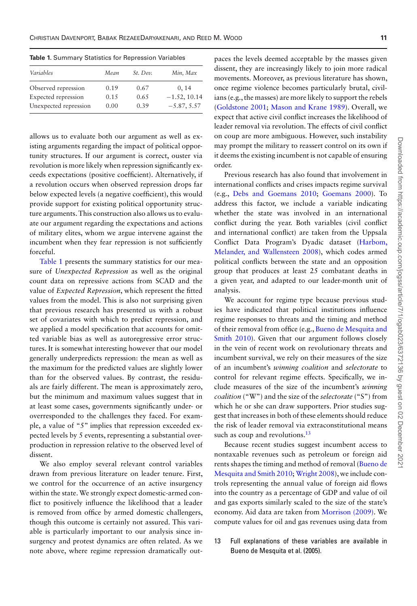| Mean | St. Dev. | Min, Max       |
|------|----------|----------------|
| 0.19 | 0.67     | 0, 14          |
| 0.15 | 0.65     | $-1.52, 10.14$ |
| 0.00 | 0.39     | $-5.87, 5.57$  |
|      |          |                |

<span id="page-10-0"></span>**Table 1.** Summary Statistics for Repression Variables

allows us to evaluate both our argument as well as existing arguments regarding the impact of political opportunity structures. If our argument is correct, ouster via revolution is more likely when repression significantly exceeds expectations (positive coefficient). Alternatively, if a revolution occurs when observed repression drops far below expected levels (a negative coefficient), this would provide support for existing political opportunity structure arguments. This construction also allows us to evaluate our argument regarding the expectations and actions of military elites, whom we argue intervene against the incumbent when they fear repression is not sufficiently forceful.

[Table 1](#page-10-0) presents the summary statistics for our measure of *Unexpected Repression* as well as the original count data on repressive actions from SCAD and the value of *Expected Repression*, which represent the fitted values from the model. This is also not surprising given that previous research has presented us with a robust set of covariates with which to predict repression, and we applied a model specification that accounts for omitted variable bias as well as autoregressive error structures. It is somewhat interesting however that our model generally underpredicts repression: the mean as well as the maximum for the predicted values are slightly lower than for the observed values. By contrast, the residuals are fairly different. The mean is approximately zero, but the minimum and maximum values suggest that in at least some cases, governments significantly under- or overresponded to the challenges they faced. For example, a value of "5" implies that repression exceeded expected levels by 5 events, representing a substantial overproduction in repression relative to the observed level of dissent.

We also employ several relevant control variables drawn from previous literature on leader tenure. First, we control for the occurrence of an active insurgency within the state. We strongly expect domestic-armed conflict to positively influence the likelihood that a leader is removed from office by armed domestic challengers, though this outcome is certainly not assured. This variable is particularly important to our analysis since insurgency and protest dynamics are often related. As we note above, where regime repression dramatically outpaces the levels deemed acceptable by the masses given dissent, they are increasingly likely to join more radical movements. Moreover, as previous literature has shown, once regime violence becomes particularly brutal, civilians (e.g., the masses) are more likely to support the rebels [\(Goldstone 2001;](#page-15-25) [Mason and Krane 1989\)](#page-16-20). Overall, we expect that active civil conflict increases the likelihood of leader removal via revolution. The effects of civil conflict on coup are more ambiguous. However, such instability may prompt the military to reassert control on its own if it deems the existing incumbent is not capable of ensuring order.

Previous research has also found that involvement in international conflicts and crises impacts regime survival (e.g., [Debs and Goemans 2010;](#page-15-26) [Goemans 2000\)](#page-15-27). To address this factor, we include a variable indicating whether the state was involved in an international conflict during the year. Both variables (civil conflict and international conflict) are taken from the Uppsala [Conflict Data Program's Dyadic dataset \(Harbom,](#page-15-28) Melander, and Wallensteen 2008), which codes armed political conflicts between the state and an opposition group that produces at least 25 combatant deaths in a given year, and adapted to our leader-month unit of analysis.

We account for regime type because previous studies have indicated that political institutions influence regime responses to threats and the timing and method of their removal from office (e.g., Bueno de Mesquita and [Smith 2010\). Given that our argument follows closely](#page-15-1) in the vein of recent work on revolutionary threats and incumbent survival, we rely on their measures of the size of an incumbent's *winning coalition* and *selectorate* to control for relevant regime effects. Specifically, we include measures of the size of the incumbent's *winning coalition* ("W") and the size of the *selectorate* ("S") from which he or she can draw supporters. Prior studies suggest that increases in both of these elements should reduce the risk of leader removal via extraconstitutional means such as coup and revolutions. $13$ 

Because recent studies suggest incumbent access to nontaxable revenues such as petroleum or foreign aid [rents shapes the timing and method of removal \(Bueno de](#page-15-1) Mesquita and Smith 2010; [Wright 2008\)](#page-16-3), we include controls representing the annual value of foreign aid flows into the country as a percentage of GDP and value of oil and gas exports similarly scaled to the size of the state's economy. Aid data are taken from [Morrison \(2009\).](#page-16-2) We compute values for oil and gas revenues using data from

<span id="page-10-1"></span>13 Full explanations of these variables are available in Bueno de Mesquita et al. (2005).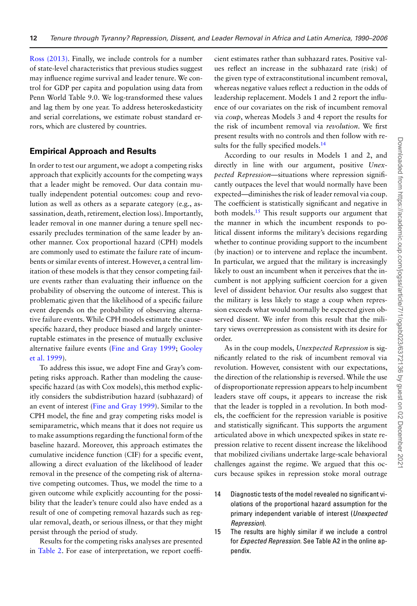[Ross \(2013\).](#page-16-26) Finally, we include controls for a number of state-level characteristics that previous studies suggest may influence regime survival and leader tenure. We control for GDP per capita and population using data from Penn World Table 9.0. We log-transformed these values and lag them by one year. To address heteroskedasticity and serial correlations, we estimate robust standard errors, which are clustered by countries.

## **Empirical Approach and Results**

In order to test our argument, we adopt a competing risks approach that explicitly accounts for the competing ways that a leader might be removed. Our data contain mutually independent potential outcomes: coup and revolution as well as others as a separate category (e.g., assassination, death, retirement, election loss). Importantly, leader removal in one manner during a tenure spell necessarily precludes termination of the same leader by another manner. Cox proportional hazard (CPH) models are commonly used to estimate the failure rate of incumbents or similar events of interest. However, a central limitation of these models is that they censor competing failure events rather than evaluating their influence on the probability of observing the outcome of interest. This is problematic given that the likelihood of a specific failure event depends on the probability of observing alternative failure events. While CPH models estimate the causespecific hazard, they produce biased and largely uninterruptable estimates in the presence of mutually exclusive [alternative failure events \(](#page-15-30)[Fine and Gray 1999](#page-15-29)[;](#page-15-30) Gooley et al. 1999).

To address this issue, we adopt Fine and Gray's competing risks approach. Rather than modeling the causespecific hazard (as with Cox models), this method explicitly considers the subdistribution hazard (subhazard) of an event of interest [\(Fine and Gray 1999\)](#page-15-29). Similar to the CPH model, the fine and gray competing risks model is semiparametric, which means that it does not require us to make assumptions regarding the functional form of the baseline hazard. Moreover, this approach estimates the cumulative incidence function (CIF) for a specific event, allowing a direct evaluation of the likelihood of leader removal in the presence of the competing risk of alternative competing outcomes. Thus, we model the time to a given outcome while explicitly accounting for the possibility that the leader's tenure could also have ended as a result of one of competing removal hazards such as regular removal, death, or serious illness, or that they might persist through the period of study.

Results for the competing risks analyses are presented in [Table 2.](#page-12-0) For ease of interpretation, we report coefficient estimates rather than subhazard rates. Positive values reflect an increase in the subhazard rate (risk) of the given type of extraconstitutional incumbent removal, whereas negative values reflect a reduction in the odds of leadership replacement. Models 1 and 2 report the influence of our covariates on the risk of incumbent removal via *coup*, whereas Models 3 and 4 report the results for the risk of incumbent removal via *revolution*. We first present results with no controls and then follow with results for the fully specified models.<sup>14</sup>

According to our results in Models 1 and 2, and directly in line with our argument, positive *Unexpected Repression*—situations where repression significantly outpaces the level that would normally have been expected—diminishes the risk of leader removal via coup. The coefficient is statistically significant and negative in both models.<sup>15</sup> This result supports our argument that the manner in which the incumbent responds to political dissent informs the military's decisions regarding whether to continue providing support to the incumbent (by inaction) or to intervene and replace the incumbent. In particular, we argued that the military is increasingly likely to oust an incumbent when it perceives that the incumbent is not applying sufficient coercion for a given level of dissident behavior. Our results also suggest that the military is less likely to stage a coup when repression exceeds what would normally be expected given observed dissent. We infer from this result that the military views overrepression as consistent with its desire for order.

As in the coup models, *Unexpected Repression* is significantly related to the risk of incumbent removal via revolution. However, consistent with our expectations, the direction of the relationship is reversed. While the use of disproportionate repression appears to help incumbent leaders stave off coups, it appears to increase the risk that the leader is toppled in a revolution. In both models, the coefficient for the repression variable is positive and statistically significant. This supports the argument articulated above in which unexpected spikes in state repression relative to recent dissent increase the likelihood that mobilized civilians undertake large-scale behavioral challenges against the regime. We argued that this occurs because spikes in repression stoke moral outrage

- <span id="page-11-0"></span>14 Diagnostic tests of the model revealed no significant violations of the proportional hazard assumption for the primary independent variable of interest (*Unexpected Repression*).
- <span id="page-11-1"></span>15 The results are highly similar if we include a control for *Expected Repression.* See Table A2 in the online appendix.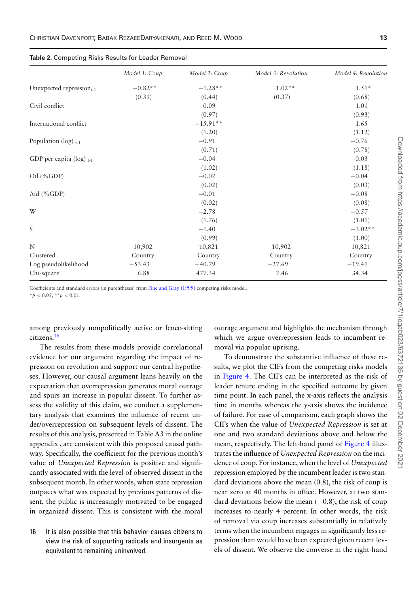|                                   | Model 1: Coup | Model 2: Coup | Model 3: Revolution | Model 4: Revolution |
|-----------------------------------|---------------|---------------|---------------------|---------------------|
| Unexpected repression $_{t-1}$    | $-0.82**$     | $-1.28**$     | $1.02**$            | $1.51*$             |
|                                   | (0.31)        | (0.44)        | (0.37)              | (0.68)              |
| Civil conflict                    |               | 0.09          |                     | 1.01                |
|                                   |               | (0.97)        |                     | (0.93)              |
| International conflict            |               | $-15.91**$    |                     | 1.65                |
|                                   |               | (1.20)        |                     | (1.12)              |
| Population ( $log$ ) $_{t-1}$     |               | $-0.91$       |                     | $-0.76$             |
|                                   |               | (0.71)        |                     | (0.78)              |
| GDP per capita ( $log$ ) $_{t-1}$ |               | $-0.04$       |                     | 0.03                |
|                                   |               | (1.02)        |                     | (1.18)              |
| $Oil$ (%GDP)                      |               | $-0.02$       |                     | $-0.04$             |
|                                   |               | (0.02)        |                     | (0.03)              |
| Aid $(\%GDP)$                     |               | $-0.01$       |                     | $-0.08$             |
|                                   |               | (0.02)        |                     | (0.08)              |
| W                                 |               | $-2.78$       |                     | $-0.57$             |
|                                   |               | (1.76)        |                     | (1.01)              |
| S                                 |               | $-1.40$       |                     | $-3.02**$           |
|                                   |               | (0.99)        |                     | (1.00)              |
| N                                 | 10,902        | 10,821        | 10,902              | 10,821              |
| Clustered                         | Country       | Country       | Country             | Country             |
| Log pseudolikelihood              | $-53.43$      | $-40.79$      | $-27.69$            | $-19.41$            |
| Chi-square                        | 6.88          | 477.34        | 7.46                | 34.34               |

<span id="page-12-0"></span>**Table 2.** Competing Risks Results for Leader Removal

Coefficients and standard errors (in parentheses) from [Fine and Gray \(1999\)](#page-15-29) competing risks model.

 $**p* < 0.05$ ,  $**p* < 0.01$ .

among previously nonpolitically active or fence-sitting citizens[.16](#page-12-1)

The results from these models provide correlational evidence for our argument regarding the impact of repression on revolution and support our central hypotheses. However, our causal argument leans heavily on the expectation that overrepression generates moral outrage and spurs an increase in popular dissent. To further assess the validity of this claim, we conduct a supplementary analysis that examines the influence of recent under/overrepression on subsequent levels of dissent. The results of this analysis, presented in Table A3 in the online appendix , are consistent with this proposed causal pathway. Specifically, the coefficient for the previous month's value of *Unexpected Repression* is positive and significantly associated with the level of observed dissent in the subsequent month. In other words, when state repression outpaces what was expected by previous patterns of dissent, the public is increasingly motivated to be engaged in organized dissent. This is consistent with the moral

<span id="page-12-1"></span>16 It is also possible that this behavior causes citizens to view the risk of supporting radicals and insurgents as equivalent to remaining uninvolved.

outrage argument and highlights the mechanism through which we argue overrepression leads to incumbent removal via popular uprising.

To demonstrate the substantive influence of these results, we plot the CIFs from the competing risks models in [Figure 4.](#page-13-0) The CIFs can be interpreted as the risk of leader tenure ending in the specified outcome by given time point. In each panel, the x-axis reflects the analysis time in months whereas the y-axis shows the incidence of failure. For ease of comparison, each graph shows the CIFs when the value of *Unexpected Repression* is set at one and two standard deviations above and below the mean, respectively. The left-hand panel of [Figure 4](#page-13-0) illustrates the influence of *Unexpected Repression* on the incidence of coup. For instance, when the level of *Unexpected* repression employed by the incumbent leader is two standard deviations above the mean (0.8), the risk of coup is near zero at 40 months in office. However, at two standard deviations below the mean  $(-0.8)$ , the risk of coup increases to nearly 4 percent. In other words, the risk of removal via coup increases substantially in relatively terms when the incumbent engages in significantly less repression than would have been expected given recent levels of dissent. We observe the converse in the right-hand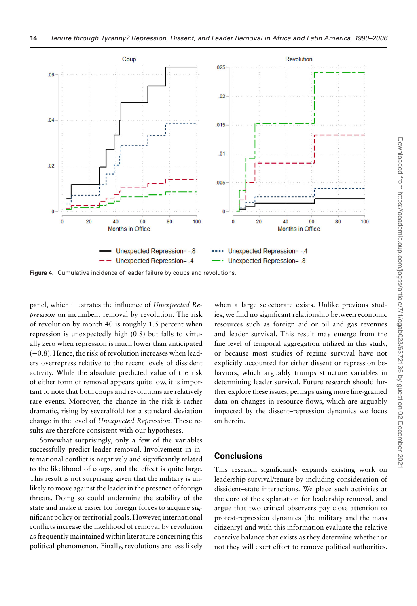<span id="page-13-0"></span>

**Figure 4.** Cumulative incidence of leader failure by coups and revolutions.

panel, which illustrates the influence of *Unexpected Repression* on incumbent removal by revolution. The risk of revolution by month 40 is roughly 1.5 percent when repression is unexpectedly high (0.8) but falls to virtually zero when repression is much lower than anticipated (−0.8). Hence, the risk of revolution increases when leaders overrepress relative to the recent levels of dissident activity. While the absolute predicted value of the risk of either form of removal appears quite low, it is important to note that both coups and revolutions are relatively rare events. Moreover, the change in the risk is rather dramatic, rising by severalfold for a standard deviation change in the level of *Unexpected Repression*. These results are therefore consistent with our hypotheses.

Somewhat surprisingly, only a few of the variables successfully predict leader removal. Involvement in international conflict is negatively and significantly related to the likelihood of coups, and the effect is quite large. This result is not surprising given that the military is unlikely to move against the leader in the presence of foreign threats. Doing so could undermine the stability of the state and make it easier for foreign forces to acquire significant policy or territorial goals. However, international conflicts increase the likelihood of removal by revolution as frequently maintained within literature concerning this political phenomenon. Finally, revolutions are less likely

when a large selectorate exists. Unlike previous studies, we find no significant relationship between economic resources such as foreign aid or oil and gas revenues and leader survival. This result may emerge from the fine level of temporal aggregation utilized in this study, or because most studies of regime survival have not explicitly accounted for either dissent or repression behaviors, which arguably trumps structure variables in determining leader survival. Future research should further explore these issues, perhaps using more fine-grained data on changes in resource flows, which are arguably impacted by the dissent–repression dynamics we focus on herein.

# **Conclusions**

This research significantly expands existing work on leadership survival/tenure by including consideration of dissident–state interactions. We place such activities at the core of the explanation for leadership removal, and argue that two critical observers pay close attention to protest-repression dynamics (the military and the mass citizenry) and with this information evaluate the relative coercive balance that exists as they determine whether or not they will exert effort to remove political authorities.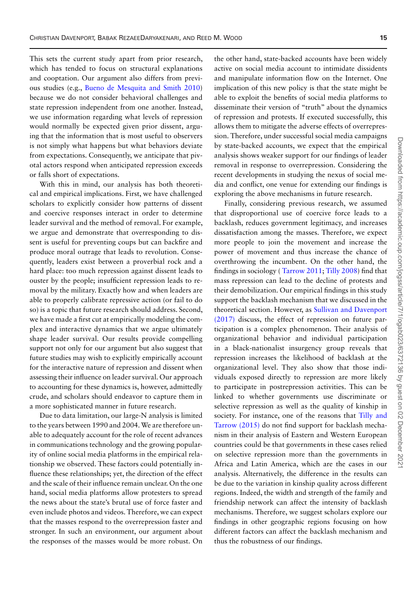This sets the current study apart from prior research, which has tended to focus on structural explanations and cooptation. Our argument also differs from previous studies (e.g., [Bueno de Mesquita and Smith 2010\)](#page-15-1) because we do not consider behavioral challenges and state repression independent from one another. Instead, we use information regarding what levels of repression would normally be expected given prior dissent, arguing that the information that is most useful to observers is not simply what happens but what behaviors deviate from expectations. Consequently, we anticipate that pivotal actors respond when anticipated repression exceeds or falls short of expectations.

With this in mind, our analysis has both theoretical and empirical implications. First, we have challenged scholars to explicitly consider how patterns of dissent and coercive responses interact in order to determine leader survival and the method of removal. For example, we argue and demonstrate that overresponding to dissent is useful for preventing coups but can backfire and produce moral outrage that leads to revolution. Consequently, leaders exist between a proverbial rock and a hard place: too much repression against dissent leads to ouster by the people; insufficient repression leads to removal by the military. Exactly how and when leaders are able to properly calibrate repressive action (or fail to do so) is a topic that future research should address. Second, we have made a first cut at empirically modeling the complex and interactive dynamics that we argue ultimately shape leader survival. Our results provide compelling support not only for our argument but also suggest that future studies may wish to explicitly empirically account for the interactive nature of repression and dissent when assessing their influence on leader survival. Our approach to accounting for these dynamics is, however, admittedly crude, and scholars should endeavor to capture them in a more sophisticated manner in future research.

Due to data limitation, our large-N analysis is limited to the years between 1990 and 2004.We are therefore unable to adequately account for the role of recent advances in communications technology and the growing popularity of online social media platforms in the empirical relationship we observed. These factors could potentially influence these relationships; yet, the direction of the effect and the scale of their influence remain unclear. On the one hand, social media platforms allow protesters to spread the news about the state's brutal use of force faster and even include photos and videos. Therefore, we can expect that the masses respond to the overrepression faster and stronger. In such an environment, our argument about the responses of the masses would be more robust. On

the other hand, state-backed accounts have been widely active on social media account to intimidate dissidents and manipulate information flow on the Internet. One implication of this new policy is that the state might be able to exploit the benefits of social media platforms to disseminate their version of "truth" about the dynamics of repression and protests. If executed successfully, this allows them to mitigate the adverse effects of overrepression. Therefore, under successful social media campaigns by state-backed accounts, we expect that the empirical analysis shows weaker support for our findings of leader removal in response to overrepression. Considering the recent developments in studying the nexus of social media and conflict, one venue for extending our findings is exploring the above mechanisms in future research.

Finally, considering previous research, we assumed that disproportional use of coercive force leads to a backlash, reduces government legitimacy, and increases dissatisfaction among the masses. Therefore, we expect more people to join the movement and increase the power of movement and thus increase the chance of overthrowing the incumbent. On the other hand, the findings in sociology ( [Tarrow 2011;](#page-16-27) [Tilly 2008\)](#page-16-22) find that mass repression can lead to the decline of protests and their demobilization. Our empirical findings in this study support the backlash mechanism that we discussed in the theoretical section. However, as Sullivan and Davenport (2017) [discuss, the effect of repression on future par](#page-16-28)ticipation is a complex phenomenon. Their analysis of organizational behavior and individual participation in a black-nationalist insurgency group reveals that repression increases the likelihood of backlash at the organizational level. They also show that those individuals exposed directly to repression are more likely to participate in postrepression activities. This can be linked to whether governments use discriminate or selective repression as well as the quality of kinship in [society. For instance, one of the reasons that](#page-16-29) Tilly and Tarrow (2015) do not find support for backlash mechanism in their analysis of Eastern and Western European countries could be that governments in these cases relied on selective repression more than the governments in Africa and Latin America, which are the cases in our analysis. Alternatively, the difference in the results can be due to the variation in kinship quality across different regions. Indeed, the width and strength of the family and friendship network can affect the intensity of backlash mechanisms. Therefore, we suggest scholars explore our findings in other geographic regions focusing on how different factors can affect the backlash mechanism and thus the robustness of our findings.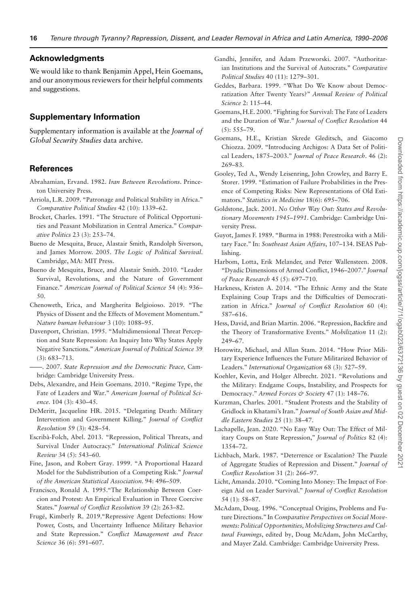## **Acknowledgments**

We would like to thank Benjamin Appel, Hein Goemans, and our anonymous reviewers for their helpful comments and suggestions.

# **Supplementary Information**

Supplementary information is available at the *Journal of Global Security Studies* data archive.

# **References**

- <span id="page-15-22"></span>Abrahamian, Ervand. 1982. *Iran Between Revolutions*. Princeton University Press.
- <span id="page-15-6"></span>Arriola, L.R. 2009. "Patronage and Political Stability in Africa." *Comparative Political Studies* 42 (10): 1339–62.
- <span id="page-15-19"></span>Brocket, Charles. 1991. "The Structure of Political Opportunities and Peasant Mobilization in Central America." *Comparative Politics* 23 (3): 253–74.
- <span id="page-15-9"></span>Bueno de Mesquita, Bruce, Alastair Smith, Randolph Siverson, and James Morrow. 2005. *The Logic of Political Survival*. Cambridge, MA: MIT Press.
- <span id="page-15-1"></span>Bueno de Mesquita, Bruce, and Alastair Smith. 2010. "Leader Survival, Revolutions, and the Nature of Government Finance." *American Journal of Political Science* 54 (4): 936– 50.
- <span id="page-15-8"></span>Chenoweth, Erica, and Margherita Belgioioso. 2019. "The Physics of Dissent and the Effects of Movement Momentum." *Nature human behaviour* 3 (10): 1088–95.
- <span id="page-15-24"></span>Davenport, Christian. 1995. "Multidimensional Threat Perception and State Repression: An Inquiry Into Why States Apply Negative Sanctions." *American Journal of Political Science* 39 (3): 683–713.
- <span id="page-15-0"></span>——. 2007. *State Repression and the Democratic Peace,* Cambridge: Cambridge University Press.
- <span id="page-15-26"></span>Debs, Alexandre, and Hein Goemans. 2010. "Regime Type, the Fate of Leaders and War." *American Journal of Political Science.* 104 (3): 430–45.
- <span id="page-15-10"></span>DeMeritt, Jacqueline HR. 2015. "Delegating Death: Military Intervention and Government Killing." *Journal of Conflict Resolution* 59 (3): 428–54.
- <span id="page-15-2"></span>Escribà-Folch, Abel. 2013. "Repression, Political Threats, and Survival Under Autocracy." *International Political Science Review* 34 (5): 543–60.
- <span id="page-15-29"></span>Fine, Jason, and Robert Gray. 1999. "A Proportional Hazard Model for the Subdistribution of a Competing Risk." *Journal of the American Statistical Association.* 94: 496–509.
- <span id="page-15-21"></span>Francisco, Ronald A. 1995."The Relationship Between Coercion and Protest: An Empirical Evaluation in Three Coercive States." *Journal of Conflict Resolution* 39 (2): 263–82.
- <span id="page-15-7"></span>Frugé, Kimberly R. 2019."Repressive Agent Defections: How Power, Costs, and Uncertainty Influence Military Behavior and State Repression." *Conflict Management and Peace Science* 36 (6): 591–607.
- <span id="page-15-3"></span>Gandhi, Jennifer, and Adam Przeworski. 2007. "Authoritarian Institutions and the Survival of Autocrats." *Comparative Political Studies* 40 (11): 1279–301.
- <span id="page-15-4"></span>Geddes, Barbara. 1999. "What Do We Know about Democratization After Twenty Years?" *Annual Review of Political Science* 2: 115–44.
- <span id="page-15-27"></span>Goemans, H.E. 2000. "Fighting for Survival: The Fate of Leaders and the Duration of War." *Journal of Conflict Resolution* 44 (5): 555–79.
- <span id="page-15-23"></span>Goemans, H.E., Kristian Skrede Gleditsch, and Giacomo Chiozza. 2009. "Introducing Archigos: A Data Set of Political Leaders, 1875–2003." *Journal of Peace Research*. 46 (2): 269–83.
- <span id="page-15-30"></span>Gooley, Ted A., Wendy Leisenring, John Crowley, and Barry E. Storer. 1999. "Estimation of Failure Probabilities in the Presence of Competing Risks: New Representations of Old Estimators." *Statistics in Medicine* 18(6): 695–706.
- <span id="page-15-25"></span>Goldstone, Jack. 2001. *No Other Way Out: States and Revolutionary Movements 1945–1991*. Cambridge: Cambridge University Press.
- <span id="page-15-16"></span>Guyot, James F. 1989. "Burma in 1988: Perestroika with a Military Face." In: *Southeast Asian Affairs*, 107–134. ISEAS Publishing.
- <span id="page-15-28"></span>Harbom, Lotta, Erik Melander, and Peter Wallensteen. 2008. "Dyadic Dimensions of Armed Conflict, 1946–2007." *Journal of Peace Research* 45 (5): 697–710.
- <span id="page-15-11"></span>Harkness, Kristen A. 2014. "The Ethnic Army and the State Explaining Coup Traps and the Difficulties of Democratization in Africa." *Journal of Conflict Resolution* 60 (4): 587–616.
- <span id="page-15-18"></span>Hess, David, and Brian Martin. 2006. "Repression, Backfire and the Theory of Transformative Events." *Mobilization* 11 (2): 249–67.
- <span id="page-15-14"></span>Horowitz, Michael, and Allan Stam. 2014. "How Prior Military Experience Influences the Future Militarized Behavior of Leaders." *International Organization* 68 (3): 527–59.
- <span id="page-15-15"></span>Koehler, Kevin, and Holger Albrecht. 2021. "Revolutions and the Military: Endgame Coups, Instability, and Prospects for Democracy." *Armed Forces & Society* 47 (1): 148–76.
- <span id="page-15-17"></span>Kurzman, Charles. 2001. "Student Protests and the Stability of Gridlock in Khatami's Iran." *Journal of South Asian and Middle Eastern Studies* 25 (1): 38–47.
- <span id="page-15-13"></span>Lachapelle, Jean. 2020. "No Easy Way Out: The Effect of Military Coups on State Repression," *Journal of Politics* 82 (4): 1354–72.
- <span id="page-15-12"></span>Lichbach, Mark. 1987. "Deterrence or Escalation? The Puzzle of Aggregate Studies of Repression and Dissent." *Journal of Conflict Resolution* 31 (2): 266–97.
- <span id="page-15-5"></span>Licht, Amanda. 2010. "Coming Into Money: The Impact of Foreign Aid on Leader Survival." *Journal of Conflict Resolution* 54 (1): 58–87.
- <span id="page-15-20"></span>McAdam, Doug. 1996. "Conceptual Origins, Problems and Future Directions." In *Comparative Perspectives on Social Movements: Political Opportunities,Mobilizing Structures and Cultural Framings*, edited by, Doug McAdam, John McCarthy, and Mayer Zald. Cambridge: Cambridge University Press.